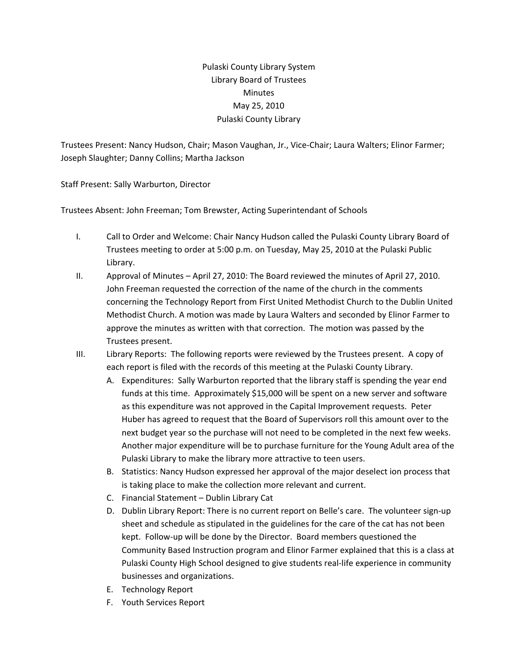## Pulaski County Library System Library Board of Trustees Minutes May 25, 2010 Pulaski County Library

Trustees Present: Nancy Hudson, Chair; Mason Vaughan, Jr., Vice‐Chair; Laura Walters; Elinor Farmer; Joseph Slaughter; Danny Collins; Martha Jackson

Staff Present: Sally Warburton, Director

Trustees Absent: John Freeman; Tom Brewster, Acting Superintendant of Schools

- I. Call to Order and Welcome: Chair Nancy Hudson called the Pulaski County Library Board of Trustees meeting to order at 5:00 p.m. on Tuesday, May 25, 2010 at the Pulaski Public Library.
- II. Approval of Minutes April 27, 2010: The Board reviewed the minutes of April 27, 2010. John Freeman requested the correction of the name of the church in the comments concerning the Technology Report from First United Methodist Church to the Dublin United Methodist Church. A motion was made by Laura Walters and seconded by Elinor Farmer to approve the minutes as written with that correction. The motion was passed by the Trustees present.
- III. Library Reports: The following reports were reviewed by the Trustees present. A copy of each report is filed with the records of this meeting at the Pulaski County Library.
	- A. Expenditures: Sally Warburton reported that the library staff is spending the year end funds at this time. Approximately \$15,000 will be spent on a new server and software as this expenditure was not approved in the Capital Improvement requests. Peter Huber has agreed to request that the Board of Supervisors roll this amount over to the next budget year so the purchase will not need to be completed in the next few weeks. Another major expenditure will be to purchase furniture for the Young Adult area of the Pulaski Library to make the library more attractive to teen users.
	- B. Statistics: Nancy Hudson expressed her approval of the major deselect ion process that is taking place to make the collection more relevant and current.
	- C. Financial Statement Dublin Library Cat
	- D. Dublin Library Report: There is no current report on Belle's care. The volunteer sign-up sheet and schedule as stipulated in the guidelines for the care of the cat has not been kept. Follow‐up will be done by the Director. Board members questioned the Community Based Instruction program and Elinor Farmer explained that this is a class at Pulaski County High School designed to give students real‐life experience in community businesses and organizations.
	- E. Technology Report
	- F. Youth Services Report